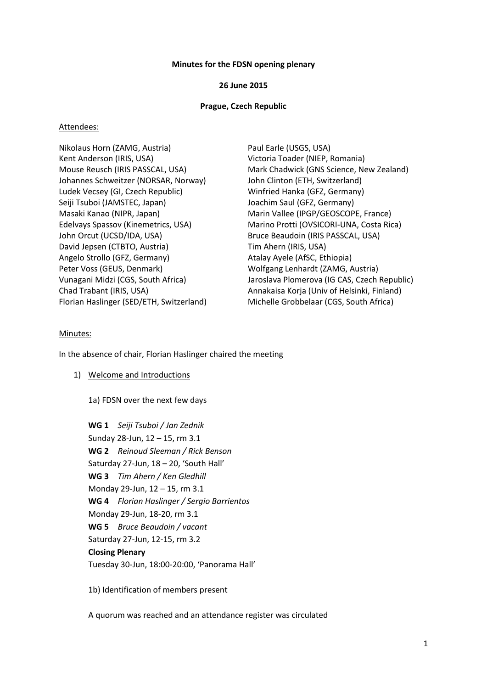#### **Minutes for the FDSN opening plenary**

#### **26 June 2015**

#### **Prague, Czech Republic**

#### Attendees:

Nikolaus Horn (ZAMG, Austria) Paul Earle (USGS, USA) Kent Anderson (IRIS, USA) Victoria Toader (NIEP, Romania) Johannes Schweitzer (NORSAR, Norway) John Clinton (ETH, Switzerland) Ludek Vecsey (GI, Czech Republic) Winfried Hanka (GFZ, Germany) Seiji Tsuboi (JAMSTEC, Japan) Joachim Saul (GFZ, Germany) Masaki Kanao (NIPR, Japan) Marin Vallee (IPGP/GEOSCOPE, France) John Orcut (UCSD/IDA, USA) Bruce Beaudoin (IRIS PASSCAL, USA) David Jepsen (CTBTO, Austria) Tim Ahern (IRIS, USA) Angelo Strollo (GFZ, Germany) Atalay Ayele (AfSC, Ethiopia) Peter Voss (GEUS, Denmark) Wolfgang Lenhardt (ZAMG, Austria) Florian Haslinger (SED/ETH, Switzerland) Michelle Grobbelaar (CGS, South Africa)

Mouse Reusch (IRIS PASSCAL, USA) Mark Chadwick (GNS Science, New Zealand) Edelvays Spassov (Kinemetrics, USA) Marino Protti (OVSICORI-UNA, Costa Rica) Vunagani Midzi (CGS, South Africa) Jaroslava Plomerova (IG CAS, Czech Republic) Chad Trabant (IRIS, USA) Annakaisa Korja (Univ of Helsinki, Finland)

#### Minutes:

In the absence of chair, Florian Haslinger chaired the meeting

- 1) Welcome and Introductions
	- 1a) FDSN over the next few days

**WG 1** *Seiji Tsuboi / Jan Zednik* Sunday 28-Jun, 12 – 15, rm 3.1 **WG 2** *Reinoud Sleeman / Rick Benson* Saturday 27-Jun, 18 – 20, 'South Hall' **WG 3** *Tim Ahern / Ken Gledhill* Monday 29-Jun, 12 – 15, rm 3.1 **WG 4** *Florian Haslinger / Sergio Barrientos* Monday 29-Jun, 18-20, rm 3.1 **WG 5** *Bruce Beaudoin / vacant* Saturday 27-Jun, 12-15, rm 3.2 **Closing Plenary** Tuesday 30-Jun, 18:00-20:00, 'Panorama Hall'

1b) Identification of members present

A quorum was reached and an attendance register was circulated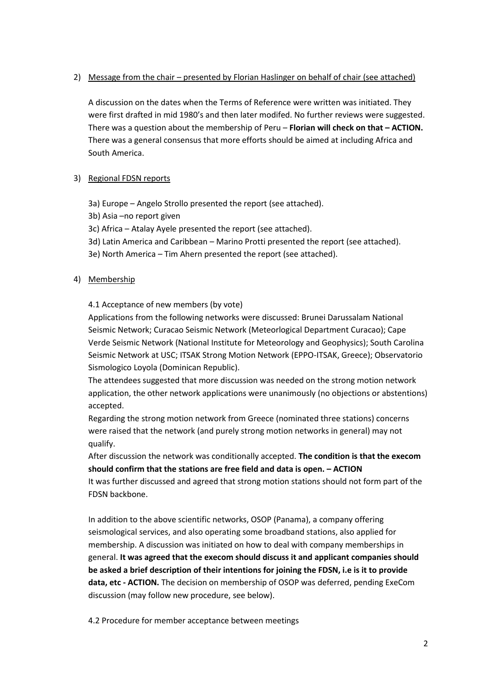# 2) Message from the chair – presented by Florian Haslinger on behalf of chair (see attached)

A discussion on the dates when the Terms of Reference were written was initiated. They were first drafted in mid 1980's and then later modifed. No further reviews were suggested. There was a question about the membership of Peru – **Florian will check on that – ACTION.** There was a general consensus that more efforts should be aimed at including Africa and South America.

# 3) Regional FDSN reports

- 3a) Europe Angelo Strollo presented the report (see attached).
- 3b) Asia –no report given
- 3c) Africa Atalay Ayele presented the report (see attached).
- 3d) Latin America and Caribbean Marino Protti presented the report (see attached).
- 3e) North America Tim Ahern presented the report (see attached).

# 4) Membership

# 4.1 Acceptance of new members (by vote)

Applications from the following networks were discussed: Brunei Darussalam National Seismic Network; Curacao Seismic Network (Meteorlogical Department Curacao); Cape Verde Seismic Network (National Institute for Meteorology and Geophysics); South Carolina Seismic Network at USC; ITSAK Strong Motion Network (EPPO-ITSAK, Greece); Observatorio Sismologico Loyola (Dominican Republic).

The attendees suggested that more discussion was needed on the strong motion network application, the other network applications were unanimously (no objections or abstentions) accepted.

Regarding the strong motion network from Greece (nominated three stations) concerns were raised that the network (and purely strong motion networks in general) may not qualify.

After discussion the network was conditionally accepted. **The condition is that the execom should confirm that the stations are free field and data is open. – ACTION**

It was further discussed and agreed that strong motion stations should not form part of the FDSN backbone.

In addition to the above scientific networks, OSOP (Panama), a company offering seismological services, and also operating some broadband stations, also applied for membership. A discussion was initiated on how to deal with company memberships in general. **It was agreed that the execom should discuss it and applicant companies should be asked a brief description of their intentions for joining the FDSN, i.e is it to provide data, etc - ACTION.** The decision on membership of OSOP was deferred, pending ExeCom discussion (may follow new procedure, see below).

4.2 Procedure for member acceptance between meetings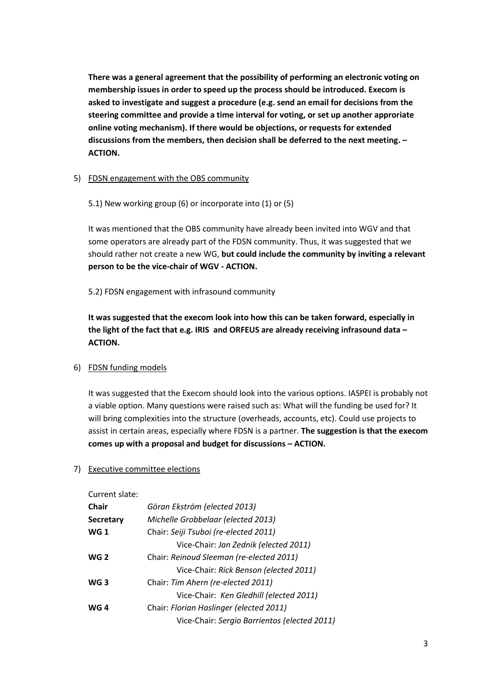**There was a general agreement that the possibility of performing an electronic voting on membership issues in order to speed up the process should be introduced. Execom is asked to investigate and suggest a procedure (e.g. send an email for decisions from the steering committee and provide a time interval for voting, or set up another approriate online voting mechanism). If there would be objections, or requests for extended discussions from the members, then decision shall be deferred to the next meeting. – ACTION.**

# 5) FDSN engagement with the OBS community

5.1) New working group (6) or incorporate into (1) or (5)

It was mentioned that the OBS community have already been invited into WGV and that some operators are already part of the FDSN community. Thus, it was suggested that we should rather not create a new WG, **but could include the community by inviting a relevant person to be the vice-chair of WGV - ACTION.**

5.2) FDSN engagement with infrasound community

**It was suggested that the execom look into how this can be taken forward, especially in the light of the fact that e.g. IRIS and ORFEUS are already receiving infrasound data – ACTION.**

# 6) FDSN funding models

It was suggested that the Execom should look into the various options. IASPEI is probably not a viable option. Many questions were raised such as: What will the funding be used for? It will bring complexities into the structure (overheads, accounts, etc). Could use projects to assist in certain areas, especially where FDSN is a partner. **The suggestion is that the execom comes up with a proposal and budget for discussions – ACTION.**

#### 7) Executive committee elections

Current slate:

| <b>Chair</b>     | Göran Ekström (elected 2013)                 |
|------------------|----------------------------------------------|
| <b>Secretary</b> | Michelle Grobbelaar (elected 2013)           |
| <b>WG1</b>       | Chair: Seiji Tsuboi (re-elected 2011)        |
|                  | Vice-Chair: Jan Zednik (elected 2011)        |
| <b>WG 2</b>      | Chair: Reinoud Sleeman (re-elected 2011)     |
|                  | Vice-Chair: Rick Benson (elected 2011)       |
| WG <sub>3</sub>  | Chair: Tim Ahern (re-elected 2011)           |
|                  | Vice-Chair: Ken Gledhill (elected 2011)      |
| WG 4             | Chair: Florian Haslinger (elected 2011)      |
|                  | Vice-Chair: Sergio Barrientos (elected 2011) |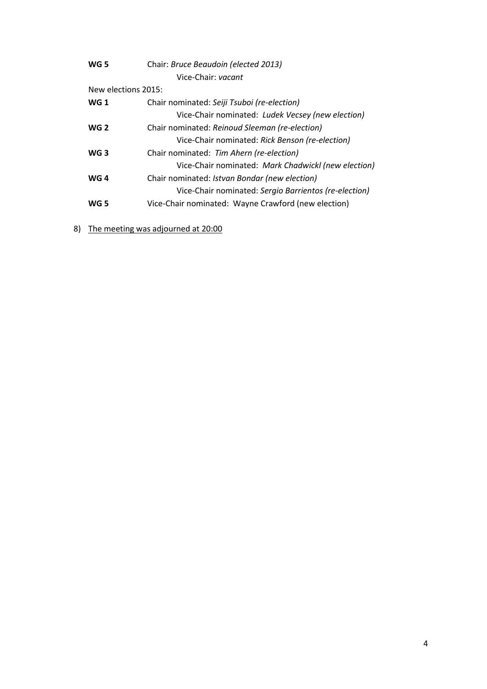| WG 5                | Chair: Bruce Beaudoin (elected 2013)                  |  |
|---------------------|-------------------------------------------------------|--|
|                     | Vice-Chair: vacant                                    |  |
| New elections 2015: |                                                       |  |
| <b>WG1</b>          | Chair nominated: Seiji Tsuboi (re-election)           |  |
|                     | Vice-Chair nominated: Ludek Vecsey (new election)     |  |
| WG <sub>2</sub>     | Chair nominated: Reinoud Sleeman (re-election)        |  |
|                     | Vice-Chair nominated: Rick Benson (re-election)       |  |
| WG <sub>3</sub>     | Chair nominated: Tim Ahern (re-election)              |  |
|                     | Vice-Chair nominated: Mark Chadwickl (new election)   |  |
| WG 4                | Chair nominated: Istvan Bondar (new election)         |  |
|                     | Vice-Chair nominated: Sergio Barrientos (re-election) |  |
| WG 5                | Vice-Chair nominated: Wayne Crawford (new election)   |  |
|                     |                                                       |  |

8) The meeting was adjourned at 20:00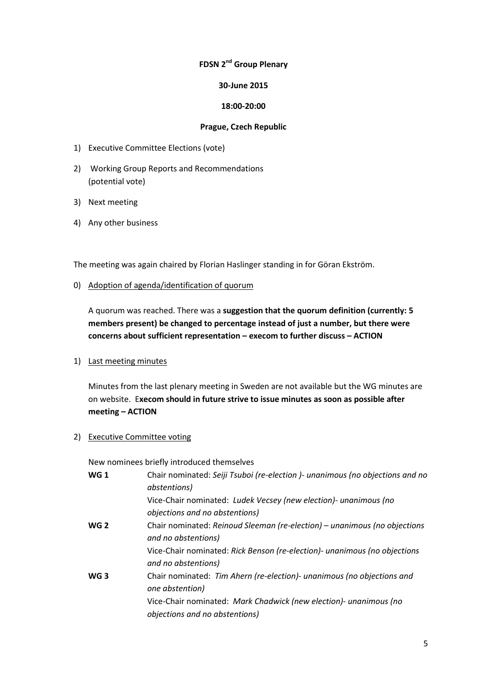# **FDSN 2nd Group Plenary**

### **30-June 2015**

### **18:00-20:00**

#### **Prague, Czech Republic**

- 1) Executive Committee Elections (vote)
- 2) Working Group Reports and Recommendations (potential vote)
- 3) Next meeting
- 4) Any other business

The meeting was again chaired by Florian Haslinger standing in for Göran Ekström.

0) Adoption of agenda/identification of quorum

A quorum was reached. There was a **suggestion that the quorum definition (currently: 5 members present) be changed to percentage instead of just a number, but there were concerns about sufficient representation – execom to further discuss – ACTION**

1) Last meeting minutes

Minutes from the last plenary meeting in Sweden are not available but the WG minutes are on website. E**xecom should in future strive to issue minutes as soon as possible after meeting – ACTION**

2) Executive Committee voting

New nominees briefly introduced themselves

| <b>WG1</b>      | Chair nominated: Seiji Tsuboi (re-election )- unanimous (no objections and no    |
|-----------------|----------------------------------------------------------------------------------|
|                 | abstentions)<br>Vice-Chair nominated: Ludek Vecsey (new election)- unanimous (no |
|                 | objections and no abstentions)                                                   |
| <b>WG 2</b>     | Chair nominated: Reinoud Sleeman (re-election) – unanimous (no objections        |
|                 | and no abstentions)                                                              |
|                 | Vice-Chair nominated: Rick Benson (re-election)- unanimous (no objections        |
|                 | and no abstentions)                                                              |
| WG <sub>3</sub> | Chair nominated: Tim Ahern (re-election)- unanimous (no objections and           |
|                 | one abstention)                                                                  |
|                 | Vice-Chair nominated: Mark Chadwick (new election)- unanimous (no                |
|                 | objections and no abstentions)                                                   |